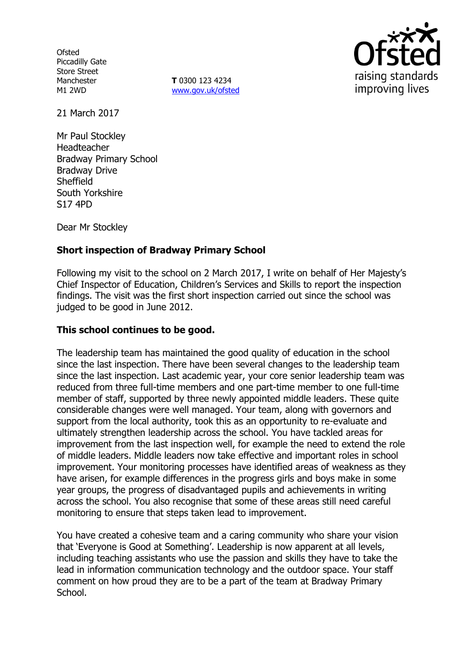**Ofsted** Piccadilly Gate Store Street Manchester M1 2WD

**T** 0300 123 4234 www.gov.uk/ofsted



21 March 2017

Mr Paul Stockley Headteacher Bradway Primary School Bradway Drive **Sheffield** South Yorkshire S17 4PD

Dear Mr Stockley

# **Short inspection of Bradway Primary School**

Following my visit to the school on 2 March 2017, I write on behalf of Her Majesty's Chief Inspector of Education, Children's Services and Skills to report the inspection findings. The visit was the first short inspection carried out since the school was judged to be good in June 2012.

### **This school continues to be good.**

The leadership team has maintained the good quality of education in the school since the last inspection. There have been several changes to the leadership team since the last inspection. Last academic year, your core senior leadership team was reduced from three full-time members and one part-time member to one full-time member of staff, supported by three newly appointed middle leaders. These quite considerable changes were well managed. Your team, along with governors and support from the local authority, took this as an opportunity to re-evaluate and ultimately strengthen leadership across the school. You have tackled areas for improvement from the last inspection well, for example the need to extend the role of middle leaders. Middle leaders now take effective and important roles in school improvement. Your monitoring processes have identified areas of weakness as they have arisen, for example differences in the progress girls and boys make in some year groups, the progress of disadvantaged pupils and achievements in writing across the school. You also recognise that some of these areas still need careful monitoring to ensure that steps taken lead to improvement.

You have created a cohesive team and a caring community who share your vision that 'Everyone is Good at Something'. Leadership is now apparent at all levels, including teaching assistants who use the passion and skills they have to take the lead in information communication technology and the outdoor space. Your staff comment on how proud they are to be a part of the team at Bradway Primary School.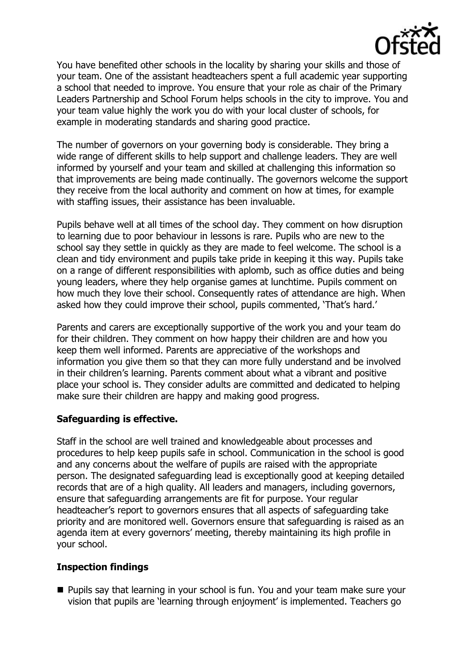

You have benefited other schools in the locality by sharing your skills and those of your team. One of the assistant headteachers spent a full academic year supporting a school that needed to improve. You ensure that your role as chair of the Primary Leaders Partnership and School Forum helps schools in the city to improve. You and your team value highly the work you do with your local cluster of schools, for example in moderating standards and sharing good practice.

The number of governors on your governing body is considerable. They bring a wide range of different skills to help support and challenge leaders. They are well informed by yourself and your team and skilled at challenging this information so that improvements are being made continually. The governors welcome the support they receive from the local authority and comment on how at times, for example with staffing issues, their assistance has been invaluable.

Pupils behave well at all times of the school day. They comment on how disruption to learning due to poor behaviour in lessons is rare. Pupils who are new to the school say they settle in quickly as they are made to feel welcome. The school is a clean and tidy environment and pupils take pride in keeping it this way. Pupils take on a range of different responsibilities with aplomb, such as office duties and being young leaders, where they help organise games at lunchtime. Pupils comment on how much they love their school. Consequently rates of attendance are high. When asked how they could improve their school, pupils commented, 'That's hard.'

Parents and carers are exceptionally supportive of the work you and your team do for their children. They comment on how happy their children are and how you keep them well informed. Parents are appreciative of the workshops and information you give them so that they can more fully understand and be involved in their children's learning. Parents comment about what a vibrant and positive place your school is. They consider adults are committed and dedicated to helping make sure their children are happy and making good progress.

### **Safeguarding is effective.**

Staff in the school are well trained and knowledgeable about processes and procedures to help keep pupils safe in school. Communication in the school is good and any concerns about the welfare of pupils are raised with the appropriate person. The designated safeguarding lead is exceptionally good at keeping detailed records that are of a high quality. All leaders and managers, including governors, ensure that safeguarding arrangements are fit for purpose. Your regular headteacher's report to governors ensures that all aspects of safeguarding take priority and are monitored well. Governors ensure that safeguarding is raised as an agenda item at every governors' meeting, thereby maintaining its high profile in your school.

### **Inspection findings**

**Pupils say that learning in your school is fun. You and your team make sure your** vision that pupils are 'learning through enjoyment' is implemented. Teachers go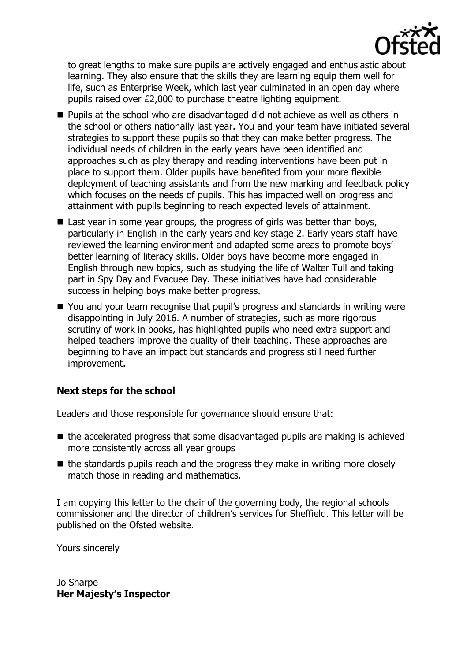

to great lengths to make sure pupils are actively engaged and enthusiastic about learning. They also ensure that the skills they are learning equip them well for life, such as Enterprise Week, which last year culminated in an open day where pupils raised over £2,000 to purchase theatre lighting equipment.

- Pupils at the school who are disadvantaged did not achieve as well as others in the school or others nationally last year. You and your team have initiated several strategies to support these pupils so that they can make better progress. The individual needs of children in the early years have been identified and approaches such as play therapy and reading interventions have been put in place to support them. Older pupils have benefited from your more flexible deployment of teaching assistants and from the new marking and feedback policy which focuses on the needs of pupils. This has impacted well on progress and attainment with pupils beginning to reach expected levels of attainment.
- Last year in some year groups, the progress of girls was better than boys, particularly in English in the early years and key stage 2. Early years staff have reviewed the learning environment and adapted some areas to promote boys' better learning of literacy skills. Older boys have become more engaged in English through new topics, such as studying the life of Walter Tull and taking part in Spy Day and Evacuee Day. These initiatives have had considerable success in helping boys make better progress.
- You and your team recognise that pupil's progress and standards in writing were disappointing in July 2016. A number of strategies, such as more rigorous scrutiny of work in books, has highlighted pupils who need extra support and helped teachers improve the quality of their teaching. These approaches are beginning to have an impact but standards and progress still need further improvement.

# **Next steps for the school**

Leaders and those responsible for governance should ensure that:

- $\blacksquare$  the accelerated progress that some disadvantaged pupils are making is achieved more consistently across all year groups
- $\blacksquare$  the standards pupils reach and the progress they make in writing more closely match those in reading and mathematics.

I am copying this letter to the chair of the governing body, the regional schools commissioner and the director of children's services for Sheffield. This letter will be published on the Ofsted website.

Yours sincerely

Jo Sharpe **Her Majesty's Inspector**